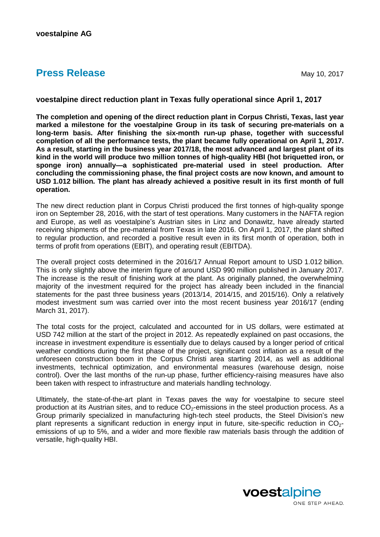## **Press Release** May 10, 2017

## **voestalpine direct reduction plant in Texas fully operational since April 1, 2017**

**The completion and opening of the direct reduction plant in Corpus Christi, Texas, last year marked a milestone for the voestalpine Group in its task of securing pre-materials on a long-term basis. After finishing the six-month run-up phase, together with successful completion of all the performance tests, the plant became fully operational on April 1, 2017. As a result, starting in the business year 2017/18, the most advanced and largest plant of its kind in the world will produce two million tonnes of high-quality HBI (hot briquetted iron, or sponge iron) annually—a sophisticated pre-material used in steel production. After concluding the commissioning phase, the final project costs are now known, and amount to USD 1.012 billion. The plant has already achieved a positive result in its first month of full operation.**

The new direct reduction plant in Corpus Christi produced the first tonnes of high-quality sponge iron on September 28, 2016, with the start of test operations. Many customers in the NAFTA region and Europe, as well as voestalpine's Austrian sites in Linz and Donawitz, have already started receiving shipments of the pre-material from Texas in late 2016. On April 1, 2017, the plant shifted to regular production, and recorded a positive result even in its first month of operation, both in terms of profit from operations (EBIT), and operating result (EBITDA).

The overall project costs determined in the 2016/17 Annual Report amount to USD 1.012 billion. This is only slightly above the interim figure of around USD 990 million published in January 2017. The increase is the result of finishing work at the plant. As originally planned, the overwhelming majority of the investment required for the project has already been included in the financial statements for the past three business years (2013/14, 2014/15, and 2015/16). Only a relatively modest investment sum was carried over into the most recent business year 2016/17 (ending March 31, 2017).

The total costs for the project, calculated and accounted for in US dollars, were estimated at USD 742 million at the start of the project in 2012. As repeatedly explained on past occasions, the increase in investment expenditure is essentially due to delays caused by a longer period of critical weather conditions during the first phase of the project, significant cost inflation as a result of the unforeseen construction boom in the Corpus Christi area starting 2014, as well as additional investments, technical optimization, and environmental measures (warehouse design, noise control). Over the last months of the run-up phase, further efficiency-raising measures have also been taken with respect to infrastructure and materials handling technology.

Ultimately, the state-of-the-art plant in Texas paves the way for voestalpine to secure steel production at its Austrian sites, and to reduce  $CO<sub>2</sub>$ -emissions in the steel production process. As a Group primarily specialized in manufacturing high-tech steel products, the Steel Division's new plant represents a significant reduction in energy input in future, site-specific reduction in  $CO<sub>2</sub>$ emissions of up to 5%, and a wider and more flexible raw materials basis through the addition of versatile, high-quality HBI.